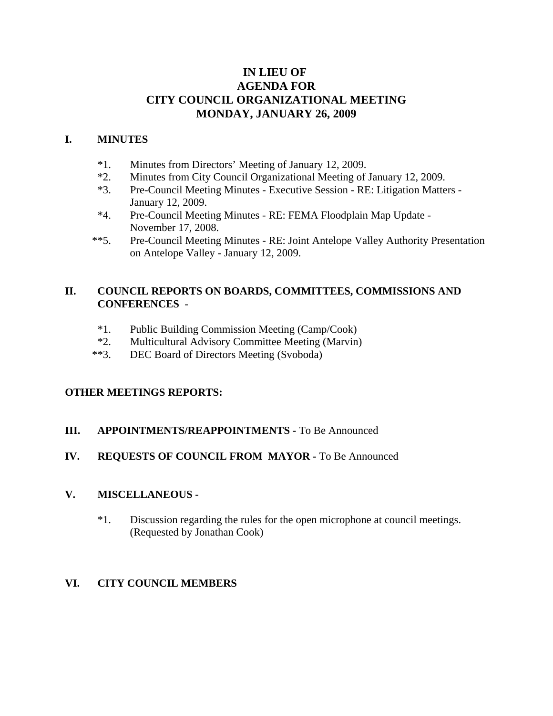# **IN LIEU OF AGENDA FOR CITY COUNCIL ORGANIZATIONAL MEETING MONDAY, JANUARY 26, 2009**

# **I. MINUTES**

- \*1. Minutes from Directors' Meeting of January 12, 2009.
- \*2. Minutes from City Council Organizational Meeting of January 12, 2009.
- \*3. Pre-Council Meeting Minutes Executive Session RE: Litigation Matters January 12, 2009.
- \*4. Pre-Council Meeting Minutes RE: FEMA Floodplain Map Update November 17, 2008.
- \*\*5. Pre-Council Meeting Minutes RE: Joint Antelope Valley Authority Presentation on Antelope Valley - January 12, 2009.

# **II. COUNCIL REPORTS ON BOARDS, COMMITTEES, COMMISSIONS AND CONFERENCES** -

- \*1. Public Building Commission Meeting (Camp/Cook)
- \*2. Multicultural Advisory Committee Meeting (Marvin)
- \*\*3. DEC Board of Directors Meeting (Svoboda)

## **OTHER MEETINGS REPORTS:**

## **III.** APPOINTMENTS/REAPPOINTMENTS - To Be Announced

# **IV. REQUESTS OF COUNCIL FROM MAYOR -** To Be Announced

# **V. MISCELLANEOUS -**

\*1. Discussion regarding the rules for the open microphone at council meetings. (Requested by Jonathan Cook)

## **VI. CITY COUNCIL MEMBERS**